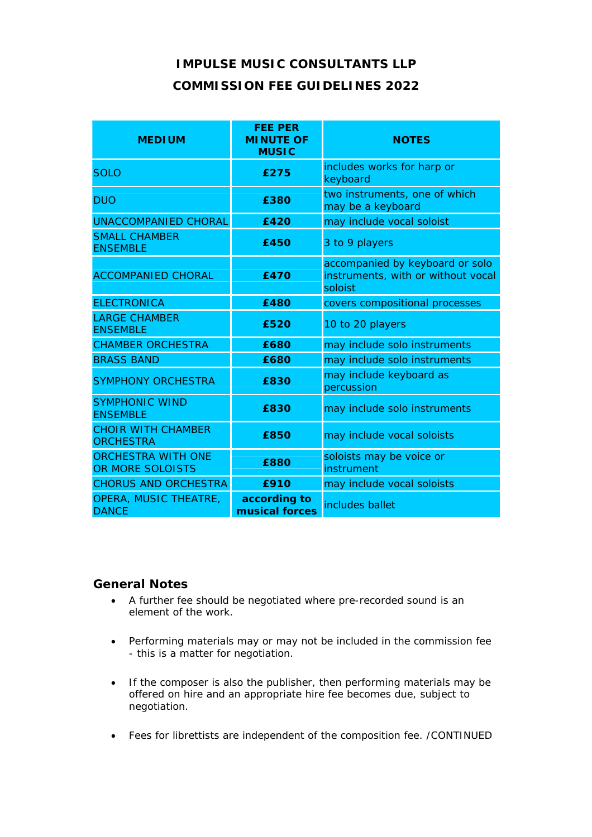## **IMPULSE MUSIC CONSULTANTS LLP COMMISSION FEE GUIDELINES 2022**

| <b>MEDIUM</b>                                 | <b>FEE PER</b><br><b>MINUTE OF</b><br><b>MUSIC</b> | <b>NOTES</b>                                                                     |
|-----------------------------------------------|----------------------------------------------------|----------------------------------------------------------------------------------|
| <b>SOLO</b>                                   | £275                                               | includes works for harp or<br>keyboard                                           |
| <b>DUO</b>                                    | £380                                               | two instruments, one of which<br>may be a keyboard                               |
| <b>UNACCOMPANIED CHORAL</b>                   | £420                                               | may include vocal soloist                                                        |
| <b>SMALL CHAMBER</b><br><b>ENSEMBLE</b>       | £450                                               | 3 to 9 players                                                                   |
| <b>ACCOMPANIED CHORAL</b>                     | £470                                               | accompanied by keyboard or solo<br>instruments, with or without vocal<br>soloist |
| <b>ELECTRONICA</b>                            | £480                                               | covers compositional processes                                                   |
| <b>LARGE CHAMBER</b><br><b>ENSEMBLE</b>       | £520                                               | 10 to 20 players                                                                 |
| <b>CHAMBER ORCHESTRA</b>                      | £680                                               | may include solo instruments                                                     |
| <b>BRASS BAND</b>                             | £680                                               | may include solo instruments                                                     |
| <b>SYMPHONY ORCHESTRA</b>                     | £830                                               | may include keyboard as<br>percussion                                            |
| <b>SYMPHONIC WIND</b><br><b>ENSEMBLE</b>      | £830                                               | may include solo instruments                                                     |
| <b>CHOIR WITH CHAMBER</b><br><b>ORCHESTRA</b> | £850                                               | may include vocal soloists                                                       |
| <b>ORCHESTRA WITH ONE</b><br>OR MORE SOLOISTS | £880                                               | soloists may be voice or<br>instrument                                           |
| <b>CHORUS AND ORCHESTRA</b>                   | £910                                               | may include vocal soloists                                                       |
| OPERA, MUSIC THEATRE,<br><b>DANCE</b>         | according to<br>musical forces                     | includes ballet                                                                  |

## **General Notes**

- A further fee should be negotiated where pre-recorded sound is an element of the work.
- Performing materials may or may not be included in the commission fee - this is a matter for negotiation.
- If the composer is also the publisher, then performing materials may be offered on hire and an appropriate hire fee becomes due, subject to negotiation.
- Fees for librettists are independent of the composition fee. /CONTINUED